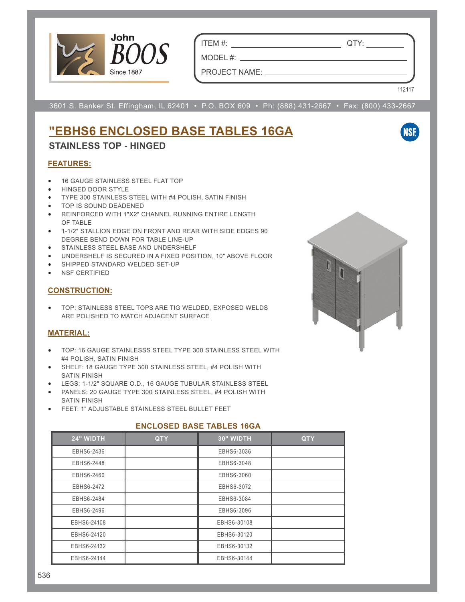

ITEM #: QTY:

MODEL #: PROJECT NAME:

112117

**NSF** 

3601 S. Banker St. Effingham, IL 62401 • P.O. BOX 609 • Ph: (888) 431-2667 • Fax: (800) 433-2667

# **"EBHS6 ENCLOSED BASE TABLES 16GA**

### **STAINLESS TOP - HINGED**

#### **FEATURES:**

- 16 GAUGE STAINLESS STEEL FLAT TOP
- HINGED DOOR STYLE
- TYPE 300 STAINLESS STEEL WITH #4 POLISH, SATIN FINISH
- TOP IS SOUND DEADENED
- REINFORCED WITH 1"X2" CHANNEL RUNNING ENTIRE LENGTH OF TABLE
- 1-1/2" STALLION EDGE ON FRONT AND REAR WITH SIDE EDGES 90 DEGREE BEND DOWN FOR TABLE LINE-UP
- STAINLESS STEEL BASE AND UNDERSHELF
- UNDERSHELF IS SECURED IN A FIXED POSITION, 10" ABOVE FLOOR
- SHIPPED STANDARD WELDED SET-UP
- NSF CERTIFIED

#### **CONSTRUCTION:**

• TOP: STAINLESS STEEL TOPS ARE TIG WELDED, EXPOSED WELDS ARE POLISHED TO MATCH ADJACENT SURFACE

#### **MATERIAL:**

- TOP: 16 GAUGE STAINLESSS STEEL TYPE 300 STAINLESS STEEL WITH #4 POLISH, SATIN FINISH
- SHELF: 18 GAUGE TYPE 300 STAINLESS STEEL, #4 POLISH WITH SATIN FINISH
- LEGS: 1-1/2" SQUARE O.D., 16 GAUGE TUBULAR STAINLESS STEEL
- PANELS: 20 GAUGE TYPE 300 STAINLESS STEEL, #4 POLISH WITH SATIN FINISH
- FEET: 1" ADJUSTABLE STAINLESS STEEL BULLET FEET

#### **ENCLOSED BASE TABLES 16GA**

| 24" WIDTH   | <b>QTY</b> | 30" WIDTH   | <b>QTY</b> |
|-------------|------------|-------------|------------|
| EBHS6-2436  |            | EBHS6-3036  |            |
| EBHS6-2448  |            | EBHS6-3048  |            |
| EBHS6-2460  |            | EBHS6-3060  |            |
| EBHS6-2472  |            | EBHS6-3072  |            |
| EBHS6-2484  |            | EBHS6-3084  |            |
| EBHS6-2496  |            | EBHS6-3096  |            |
| EBHS6-24108 |            | EBHS6-30108 |            |
| EBHS6-24120 |            | EBHS6-30120 |            |
| EBHS6-24132 |            | EBHS6-30132 |            |
| EBHS6-24144 |            | EBHS6-30144 |            |